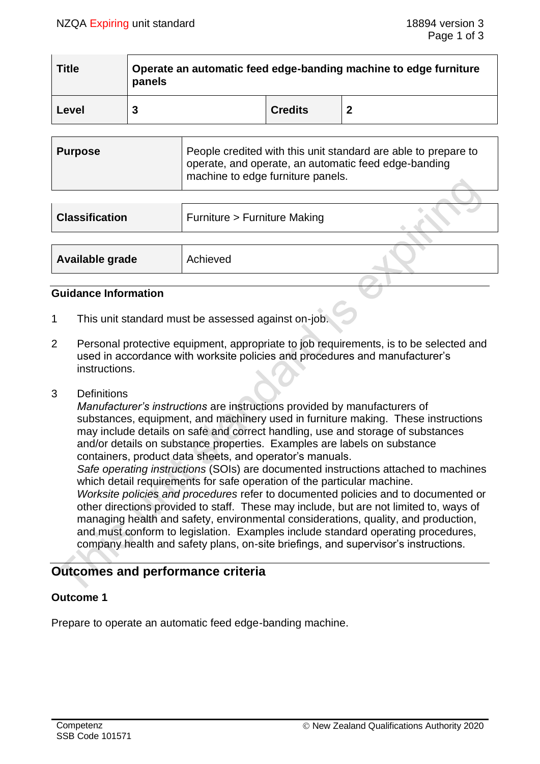| <b>Title</b> | Operate an automatic feed edge-banding machine to edge furniture<br>panels |                |  |  |
|--------------|----------------------------------------------------------------------------|----------------|--|--|
| Level        |                                                                            | <b>Credits</b> |  |  |

| Purpose | People credited with this unit standard are able to prepare to<br>operate, and operate, an automatic feed edge-banding<br>machine to edge furniture panels. |
|---------|-------------------------------------------------------------------------------------------------------------------------------------------------------------|
|         |                                                                                                                                                             |

| <b>Classification</b> | Furniture > Furniture Making |  |
|-----------------------|------------------------------|--|
|                       |                              |  |
| Available grade       | Achieved                     |  |

## **Guidance Information**

- 1 This unit standard must be assessed against on-job.
- 2 Personal protective equipment, appropriate to job requirements, is to be selected and used in accordance with worksite policies and procedures and manufacturer's instructions.
- 3 Definitions

*Manufacturer's instructions* are instructions provided by manufacturers of substances, equipment, and machinery used in furniture making. These instructions may include details on safe and correct handling, use and storage of substances and/or details on substance properties. Examples are labels on substance containers, product data sheets, and operator's manuals.

*Safe operating instructions* (SOIs) are documented instructions attached to machines which detail requirements for safe operation of the particular machine.

*Worksite policies and procedures* refer to documented policies and to documented or other directions provided to staff. These may include, but are not limited to, ways of managing health and safety, environmental considerations, quality, and production, and must conform to legislation. Examples include standard operating procedures, company health and safety plans, on-site briefings, and supervisor's instructions.

# **Outcomes and performance criteria**

# **Outcome 1**

Prepare to operate an automatic feed edge-banding machine.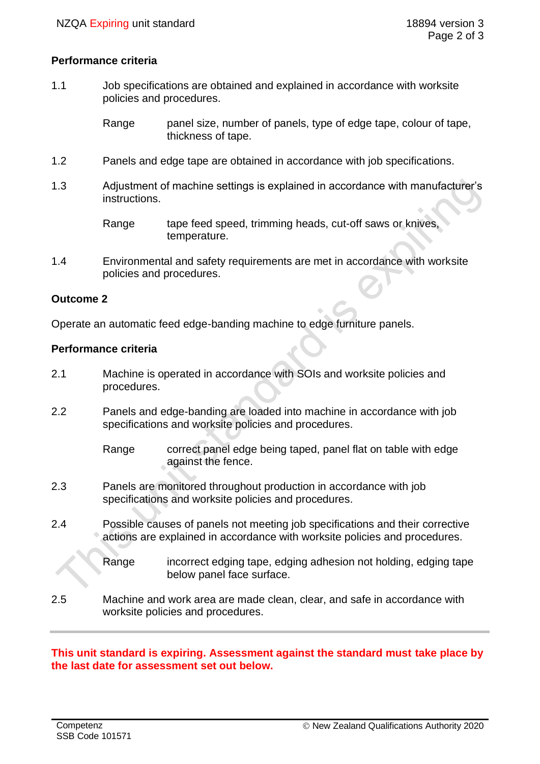## **Performance criteria**

1.1 Job specifications are obtained and explained in accordance with worksite policies and procedures.

> Range panel size, number of panels, type of edge tape, colour of tape, thickness of tape.

- 1.2 Panels and edge tape are obtained in accordance with job specifications.
- 1.3 Adjustment of machine settings is explained in accordance with manufacturer's instructions.

Range tape feed speed, trimming heads, cut-off saws or knives, temperature.

1.4 Environmental and safety requirements are met in accordance with worksite policies and procedures.

#### **Outcome 2**

Operate an automatic feed edge-banding machine to edge furniture panels.

#### **Performance criteria**

- 2.1 Machine is operated in accordance with SOIs and worksite policies and procedures.
- 2.2 Panels and edge-banding are loaded into machine in accordance with job specifications and worksite policies and procedures.

Range correct panel edge being taped, panel flat on table with edge against the fence.

- 2.3 Panels are monitored throughout production in accordance with job specifications and worksite policies and procedures.
- 2.4 Possible causes of panels not meeting job specifications and their corrective actions are explained in accordance with worksite policies and procedures.
	- Range incorrect edging tape, edging adhesion not holding, edging tape below panel face surface.
- 2.5 Machine and work area are made clean, clear, and safe in accordance with worksite policies and procedures.

# **This unit standard is expiring. Assessment against the standard must take place by the last date for assessment set out below.**